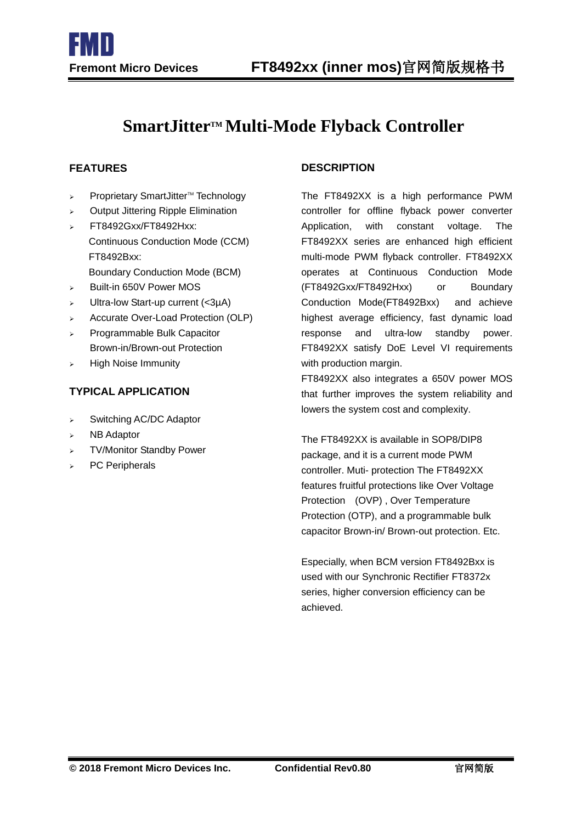# **SmartJitterTM Multi-Mode Flyback Controller**

I

- $\triangleright$  Proprietary SmartJitter<sup>TM</sup> Technology
- Output Jittering Ripple Elimination
- FT8492Gxx/FT8492Hxx: Continuous Conduction Mode (CCM) FT8492Bxx:
	- Boundary Conduction Mode (BCM)
- Built-in 650V Power MOS
- $\triangleright$  Ultra-low Start-up current (<3µA)
- > Accurate Over-Load Protection (OLP)
- Programmable Bulk Capacitor Brown-in/Brown-out Protection
- $\triangleright$  High Noise Immunity

### **TYPICAL APPLICATION**

- > Switching AC/DC Adaptor
- $\triangleright$  NB Adaptor
- TV/Monitor Standby Power
- > PC Peripherals

### **FEATURES DESCRIPTION**

The FT8492XX is a high performance PWM controller for offline flyback power converter Application, with constant voltage. The FT8492XX series are enhanced high efficient multi-mode PWM flyback controller. FT8492XX operates at Continuous Conduction Mode (FT8492Gxx/FT8492Hxx) or Boundary Conduction Mode(FT8492Bxx) and achieve highest average efficiency, fast dynamic load response and ultra-low standby power. FT8492XX satisfy DoE Level VI requirements with production margin.

FT8492XX also integrates a 650V power MOS that further improves the system reliability and lowers the system cost and complexity.

The FT8492XX is available in SOP8/DIP8 package, and it is a current mode PWM controller. Muti- protection The FT8492XX features fruitful protections like Over Voltage Protection (OVP) , Over Temperature Protection (OTP), and a programmable bulk capacitor Brown-in/ Brown-out protection. Etc.

Especially, when BCM version FT8492Bxx is used with our Synchronic Rectifier FT8372x series, higher conversion efficiency can be achieved.